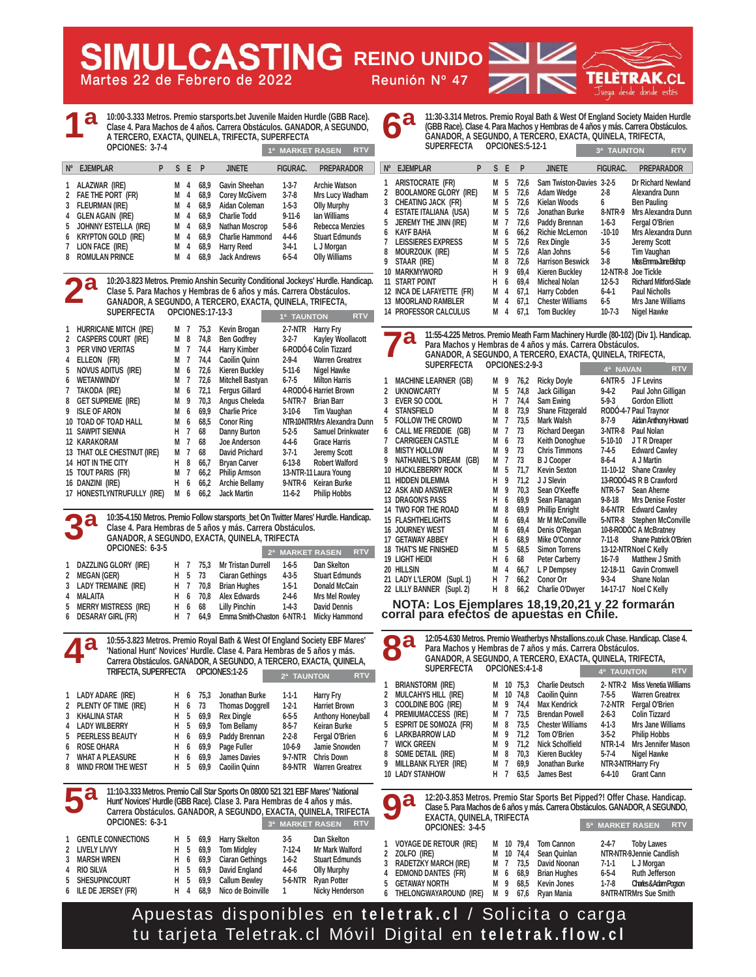**Martes 22 de Febrero de 2022 Reunión Nº 47**

**6ª**

**LULCASTING** REINO UNIDO

**10:00-3.333 Metros. Premio starsports.bet Juvenile Maiden Hurdle (GBB Race). Clase 4. Para Machos de 4 años. Carrera Obstáculos. GANADOR, A SEGUNDO, A TERCERO, EXACTA, QUINELA, TRIFECTA, SUPERFECTA OPCIONES: 3-7-4 Nº EJEMPLAR P S E P JINETE FIGURAC. PREPARADOR 1ª 1ª MARKET RASEN RTV**

| 1 ALAZWAR (IRE)        | M 4 |  | 68.9 Gavin Sheehan       | $1-3-7$      | <b>Archie Watson</b>   |
|------------------------|-----|--|--------------------------|--------------|------------------------|
| 2 FAE THE PORT (FR)    |     |  | M 4 68,9 Corey McGivern  | $3 - 7 - 8$  | Mrs Lucy Wadham        |
| 3 FLEURMAN (IRE)       |     |  | M 4 68.9 Aidan Coleman   | $1-5-3$      | <b>Olly Murphy</b>     |
| 4 GLEN AGAIN (IRE)     |     |  | M 4 68.9 Charlie Todd    | $9 - 11 - 6$ | lan Williams           |
| 5 JOHNNY ESTELLA (IRE) |     |  | M 4 68,9 Nathan Moscrop  | $5 - 8 - 6$  | <b>Rebecca Menzies</b> |
| 6 KRYPTON GOLD (IRE)   |     |  | M 4 68,9 Charlie Hammond | $4 - 4 - 6$  | <b>Stuart Edmunds</b>  |
| 7 LION FACE (IRE)      |     |  | M 4 68,9 Harry Reed      | $3 - 4 - 1$  | L J Morgan             |
| 8 ROMULAN PRINCE       | M 4 |  | 68.9 Jack Andrews        | $6 - 5 - 4$  | <b>Olly Williams</b>   |
|                        |     |  |                          |              |                        |

**10:20-3.823 Metros. Premio Anshin Security Conditional Jockeys' Hurdle. Handicap. Clase 5. Para Machos y Hembras de 6 años y más. Carrera Obstáculos. GANADOR, A SEGUNDO, A TERCERO, EXACTA, QUINELA, TRIFECTA, SUPERFECTA OPCIONES:17-13-3 1 HURRICANE MITCH (IRE) M 7 75,3 Kevin Brogan 2-7-NTR Harry Fry 1ª TAUNTON RTV 2ª**

|              | <b>INVISIONMENTED IN THE</b> | IVI. | $\mathbf{I}$ | 7 J, J | <b>NEVILL DI UYALI</b> | $2 - 1$ - $\mathbb{N}$ | $\frac{1}{2}$                |
|--------------|------------------------------|------|--------------|--------|------------------------|------------------------|------------------------------|
| $\mathbf{2}$ | <b>CASPERS COURT (IRE)</b>   | М    | 8            | 74.8   | <b>Ben Godfrey</b>     | $3-2-7$                | <b>Kayley Woollacott</b>     |
| 3            | <b>PER VINO VERITAS</b>      | М    | 7            | 74.4   | <b>Harry Kimber</b>    |                        | 6-RODÓ-6 Colin Tizzard       |
| 4            | ELLEON (FR)                  | М    | 7            | 74.4   | <b>Caoilin Quinn</b>   | $2 - 9 - 4$            | <b>Warren Greatrex</b>       |
| 5            | <b>NOVUS ADITUS (IRE)</b>    | М    | 6            | 72.6   | <b>Kieren Buckley</b>  | $5-11-6$               | Nigel Hawke                  |
| 6            | <b>WETANWINDY</b>            | М    | 7            | 72,6   | Mitchell Bastyan       | 6-7-5                  | <b>Milton Harris</b>         |
| 7            | TAKODA (IRE)                 | М    | 6            | 72,1   | <b>Fergus Gillard</b>  |                        | 4-RODÓ-6 Harriet Brown       |
| 8            | <b>GET SUPREME (IRE)</b>     | М    | 9            | 70.3   | Angus Cheleda          | 5-NTR-7                | <b>Brian Barr</b>            |
| 9            | <b>ISLE OF ARON</b>          | М    | 6            | 69.9   | <b>Charlie Price</b>   | $3-10-6$               | Tim Vaughan                  |
|              | 10 TOAD OF TOAD HALL         | М    | 6            | 68.5   | <b>Conor Ring</b>      |                        | NTR-10-NTRMrs Alexandra Dunn |
|              | <b>11 SAWPIT SIENNA</b>      | н    | 7            | 68     | Danny Burton           | $5-2-5$                | <b>Samuel Drinkwater</b>     |
|              | <b>12 KARAKORAM</b>          | М    | 7            | 68     | Joe Anderson           | $4 - 4 - 6$            | <b>Grace Harris</b>          |
|              | 13 THAT OLE CHESTNUT (IRE)   | М    | 7            | 68     | <b>David Prichard</b>  | $3 - 7 - 1$            | Jeremy Scott                 |
|              | 14 HOT IN THE CITY           | н    | 8            | 66,7   | <b>Bryan Carver</b>    | $6 - 13 - 8$           | <b>Robert Walford</b>        |
|              | 15 TOUT PARIS (FR)           | М    | 7            | 66,2   | <b>Philip Armson</b>   |                        | 13-NTR-11 Laura Young        |
|              | 16 DANZINI (IRE)             | н    | 6            | 66,2   | <b>Archie Bellamy</b>  | 9-NTR-6                | Keiran Burke                 |
|              | 17 HONESTLYNTRUFULLY (IRE)   | М    | 6            | 66.2   | <b>Jack Martin</b>     | $11-6-2$               | <b>Philip Hobbs</b>          |
|              |                              |      |              |        |                        |                        |                              |

**10:35-4.150 Metros. Premio Follow starsports\_bet On Twitter Mares' Hurdle. Handicap. Clase 4. Para Hembras de 5 años y más. Carrera Obstáculos. GANADOR, A SEGUNDO, EXACTA, QUINELA, TRIFECTA OPCIONES: 6-3-5 1 DAZZLING GLORY (IRE) H 7 75,3 Mr Tristan Durrell 1-6-5 Dan Skelton 2 MEGAN (GER) H 5 73 Ciaran Gethings 4-3-5 Stuart Edmunds 3 LADY TREMAINE (IRE) H 7 70,8 Brian Hughes 1-5-1 Donald McCain 2ª MARKET RASEN RTV 3ª**

**4 MALAITA H 6 70,8 Alex Edwards 2-4-6 Mrs Mel Rowley 5 MERRY MISTRESS (IRE) H 6 68 Lilly Pinchin 1-4-3 David Dennis 6 DESARAY GIRL (FR)** H 7 64.9 **Emma Smith-Chaston 6-NTR-1 10:55-3.823 Metros. Premio Royal Bath & West Of England Society EBF Mares'** 

**'National Hunt' Novices' Hurdle. Clase 4. Para Hembras de 5 años y más. Carrera Obstáculos. GANADOR, A SEGUNDO, A TERCERO, EXACTA, QUINELA, TRIFECTA, SUPERFECTA OPCIONES:1-2-5 1 LADY ADARE (IRE) H 6 75,3 Jonathan Burke 1-1-1 Harry Fry 2ª TAUNTON RTV 4ª**

| 2 PLENTY OF TIME (IRE)                                                                  |  | H 6 73 Thomas Doggrell | $1-2-1$     | <b>Harriet Brown</b>     |
|-----------------------------------------------------------------------------------------|--|------------------------|-------------|--------------------------|
| 3 KHALINA STAR                                                                          |  | H 5 69,9 Rex Dingle    | $6 - 5 - 5$ | <b>Anthony Honeyball</b> |
| 4 LADY WILBERRY                                                                         |  | H 5 69,9 Tom Bellamy   | 8-5-7       | <b>Keiran Burke</b>      |
| 5 PEERLESS BEAUTY                                                                       |  | H 6 69,9 Paddy Brennan | $2 - 2 - 8$ | Fergal O'Brien           |
| 6 ROSE OHARA                                                                            |  | H 6 69,9 Page Fuller   | $10-6-9$    | Jamie Snowden            |
| 7 WHAT A PLEASURE                                                                       |  | H 6 69,9 James Davies  |             | 9-7-NTR Chris Down       |
| 8 WIND FROM THE WEST                                                                    |  | H 5 69.9 Caoilin Quinn |             | 8-9-NTR Warren Greatrex  |
|                                                                                         |  |                        |             |                          |
| Г2<br>11:10-3.333 Metros. Premio Call Star Sports On 08000 521 321 EBF Mares' 'National |  |                        |             |                          |
|                                                                                         |  |                        |             |                          |

**Hunt' Novices' Hurdle (GBB Race). Clase 3. Para Hembras de 4 años y más. Carrera Obstáculos. GANADOR, A SEGUNDO, EXACTA, QUINELA, TRIFECTA OPCIONES: 6-3-1 1 GENTLE CONNECTIONS H 5 69,9 Harry Skelton 3-5 Dan Skelton 2 LIVELY LIVVY H 5 69,9 Tom Midgley 7-12-4 Mr Mark Walford Ciaran Gethings 4 RIO SILVA H 5 69,9 David England 4-6-6 Olly Murphy 3ª MARKET RASEN RTV 5ª MARKET RASEN RTV 5ª**

**6 ILE DE JERSEY (FR) H 4 68,9 Nico de Boinville 1 Nicky Henderson** 

**5 SHESUPINCOURT H 5 69.9** 

| 11:30-3.314 Metros. Premio Royal Bath & West Of England Society Maiden Hurdle<br>(GBB Race). Clase 4. Para Machos y Hembras de 4 años y más. Carrera Obstáculos.<br>GANADOR, A SEGUNDO, A TERCERO, EXACTA, QUÍNELA, TRIFECTA, |                                  |  |
|-------------------------------------------------------------------------------------------------------------------------------------------------------------------------------------------------------------------------------|----------------------------------|--|
| <b>SUPERFECTA</b><br>OPCIONES:5-12-1                                                                                                                                                                                          | <b>38 TALINTON</b><br><b>RTV</b> |  |

| $N^{\circ}$ | <b>EJEMPLAR</b>              | P | S | E | P    | <b>JINETE</b>            | <b>FIGURAC.</b> | <b>PREPARADOR</b>            |
|-------------|------------------------------|---|---|---|------|--------------------------|-----------------|------------------------------|
| 1           | ARISTOCRATE (FR)             |   | М | 5 | 72.6 | Sam Twiston-Davies 3-2-5 |                 | Dr Richard Newland           |
| 2           | <b>BOOLAMORE GLORY (IRE)</b> |   | М | 5 | 72,6 | Adam Wedge               | $2-8$           | Alexandra Dunn               |
| 3           | CHEATING JACK (FR)           |   | М | 5 | 72,6 | <b>Kielan Woods</b>      | 6               | <b>Ben Pauling</b>           |
| 4           | <b>ESTATE ITALIANA (USA)</b> |   | М | 5 | 72.6 | Jonathan Burke           | 8-NTR-9         | Mrs Alexandra Dunn           |
| 5           | JEREMY THE JINN (IRE)        |   | М | 7 | 72,6 | Paddy Brennan            | $1-6-3$         | Fergal O'Brien               |
| 6           | <b>KAYF BAHA</b>             |   | м | 6 | 66.2 | <b>Richie McLernon</b>   | $-10-10$        | Mrs Alexandra Dunn           |
| 7           | <b>LEISSIERES EXPRESS</b>    |   | М | 5 | 72,6 | <b>Rex Dingle</b>        | $3-5$           | <b>Jeremy Scott</b>          |
| 8           | MOURZOUK (IRE)               |   | М | 5 | 72.6 | Alan Johns               | 5-6             | <b>Tim Vaughan</b>           |
| 9           | STAAR (IRE)                  |   | М | 8 | 72.6 | <b>Harrison Beswick</b>  | $3-8$           | Miss Emma Jane Bishop        |
|             | <b>10 MARKMYWORD</b>         |   | н | 9 | 69.4 | <b>Kieren Buckley</b>    |                 | 12-NTR-8 Joe Tickle          |
|             | <b>11 START POINT</b>        |   | н | 6 | 69.4 | <b>Micheal Nolan</b>     | $12 - 5 - 3$    | <b>Richard Mitford-Slade</b> |
|             | 12 INCA DE LAFAYETTE (FR)    |   | М | 4 | 67,1 | Harry Cobden             | $6 - 4 - 1$     | <b>Paul Nicholls</b>         |
|             | <b>13 MOORLAND RAMBLER</b>   |   | М | 4 | 67.1 | <b>Chester Williams</b>  | 6-5             | Mrs Jane Williams            |
|             | <b>14 PROFESSOR CALCULUS</b> |   | М | 4 | 67.1 | <b>Tom Bucklev</b>       | $10 - 7 - 3$    | Nigel Hawke                  |

**11:55-4.225 Metros. Premio Meath Farm Machinery Hurdle (80-102) (Div 1). Handicap. Para Machos y Hembras de 4 años y más. Carrera Obstáculos. GANADOR, A SEGUNDO, A TERCERO, EXACTA, QUINELA, TRIFECTA, ODCIONES:2-0-3 7ª**

|    | JUFLIN LUIA                  |   |                | UF GIUITLJ.Z"7"J |                         | 4ª NAVAN     |                              | <b>RTV</b> |
|----|------------------------------|---|----------------|------------------|-------------------------|--------------|------------------------------|------------|
| 1  | <b>MACHINE LEARNER (GB)</b>  | М | 9              | 76,2             | <b>Ricky Doyle</b>      | 6-NTR-5      | J F Levins                   |            |
| 2  | <b>UKNOWCARTY</b>            | М | 5              | 74,8             | Jack Gilligan           | $9 - 4 - 2$  | Paul John Gilligan           |            |
| 3  | <b>EVER SO COOL</b>          | н | 7              | 74,4             | Sam Ewing               | 5-9-3        | <b>Gordon Elliott</b>        |            |
| 4  | <b>STANSFIELD</b>            | M | 8              | 73.9             | <b>Shane Fitzgerald</b> |              | RODÓ-4-7 Paul Traynor        |            |
| 5  | <b>FOLLOW THE CROWD</b>      | М | $\overline{1}$ | 73.5             | Mark Walsh              | $8-7-9$      | Aidan Anthony Howard         |            |
| 6  | CALL ME FREDDIE (GB)         | М | $\overline{1}$ | 73               | <b>Richard Deegan</b>   | $3-NTR-8$    | Paul Nolan                   |            |
| 7  | <b>CARRIGEEN CASTLE</b>      | M | 6              | 73               | Keith Donoghue          | $5-10-10$    | J T R Dreaper                |            |
| 8  | <b>MISTY HOLLOW</b>          | М | 9              | 73               | <b>Chris Timmons</b>    | 7-4-5        | <b>Edward Cawley</b>         |            |
| 9  | NATHANIEL'S DREAM (GB)       | М | $\overline{1}$ | 73               | <b>B J Cooper</b>       | 8-6-4        | A J Martin                   |            |
|    | <b>10 HUCKLEBERRY ROCK</b>   | М | 5              | 71.7             | <b>Kevin Sexton</b>     | 11-10-12     | <b>Shane Crawley</b>         |            |
| 11 | <b>HIDDEN DILEMMA</b>        | н | 9              | 71.2             | J J Slevin              |              | 13-RODÓ-4S R B Crawford      |            |
|    | <b>12 ASK AND ANSWER</b>     | М | 9              | 70.3             | Sean O'Keeffe           | NTR-5-7      | Sean Aherne                  |            |
|    | <b>13 DRAGON'S PASS</b>      | н | 6              | 69,9             | Sean Flanagan           | $9 - 8 - 18$ | <b>Mrs Denise Foster</b>     |            |
|    | 14 TWO FOR THE ROAD          | M | 8              | 69,9             | <b>Phillip Enright</b>  | 8-6-NTR      | <b>Edward Cawley</b>         |            |
|    | <b>15 FLASHTHELIGHTS</b>     | М | 6              | 69.4             | <b>Mr M McConville</b>  | 5-NTR-8      | <b>Stephen McConville</b>    |            |
|    | <b>16 JOURNEY WEST</b>       | М | 6              | 69.4             | Denis O'Regan           |              | 10-8-RODÓC A McBratney       |            |
|    | <b>17 GETAWAY ABBEY</b>      | н | 6              | 68.9             | Mike O'Connor           | $7-11-8$     | <b>Shane Patrick O'Brien</b> |            |
|    | <b>18 THAT'S ME FINISHED</b> | М | 5              | 68.5             | <b>Simon Torrens</b>    |              | 13-12-NTR Noel C Kelly       |            |
|    | 19 Light Heidi               | н | 6              | 68               | Peter Carberry          | $16 - 7 - 9$ | Matthew J Smith              |            |
|    | 20 HILLSIN                   | М | 4              | 66.7             | L P Dempsey             | 12-18-11     | <b>Gavin Cromwell</b>        |            |
|    | 21 LADY L'LEROM<br>(Supl. 1) | н | 7              | 66.2             | <b>Conor Orr</b>        | $9 - 3 - 4$  | <b>Shane Nolan</b>           |            |
|    | 22 LILLY BANNER<br>(Supl. 2) | н | 8              | 66,2             | Charlie O'Dwyer         | 14-17-17     | Noel C Kelly                 |            |
|    |                              |   |                |                  |                         |              |                              |            |

**NOTA: Los Ejemplares 18,19,20,21 y 22 formarán corral para efectos de apuestas en Chile.**

**12:05-4.630 Metros. Premio Weatherbys Nhstallions.co.uk Chase. Handicap. Clase 4. Para Machos y Hembras de 7 años y más. Carrera Obstáculos. GANADOR, A SEGUNDO, A TERCERO, EXACTA, QUINELA, TRIFECTA, SUPERFECTA OPCIONES:4-1-8 1 BRIANSTORM (IRE) M 10 75,3 Charlie Deutsch 2- NTR-2 Miss Venetia Williams 2 MULCAHYS HILL (IRE)** M 10 74,8 Caoilin Quinn 7-5-5 COOLDINE BOG (IRE) M 9 74,4 Max Kendrick 7-2-N **3 COOLDINE BOG (IRE) M 9 74,4 Max Kendrick 7-2-NTR Fergal O'Brien 4 PREMIUMACCESS (IRE) M 7 73,5 Brendan Powell 2-6-3 Colin Tizzard 5 ESPRIT DE SOMOZA (FR) 6 LARKBARROW LAD M 9 71,2 Tom O'Brien 3-5-2 Philip Hobbs 7 WICK GREEN M 9 71,2 Nick Scholfield NTR-1-4 Mrs Jennifer Mason 8 SOME DETAIL (IRE) M 8 70,3 Kieren Buckley 5-7-4 Nigel Hawke 9 MILLBANK FLYER (IRE) 10 LADY STANHOW H 7 63,5 James Best 6-4-10 Grant Cann 12:20-3.853 Metros. Premio Star Sports Bet Pipped?! Offer Chase. Handicap. Clase 5. Para Machos de 6 años y más. Carrera Obstáculos. GANADOR, A SEGUNDO, EXACTA, QUINELA, TRIFECTA 4ª TAUNTON RTV 8ª 9ª**

Apuestas disponibles en **teletrak.cl** / Solicita o carga tu tarjeta Teletrak.cl Móvil Digital en **teletrak.flow.cl**